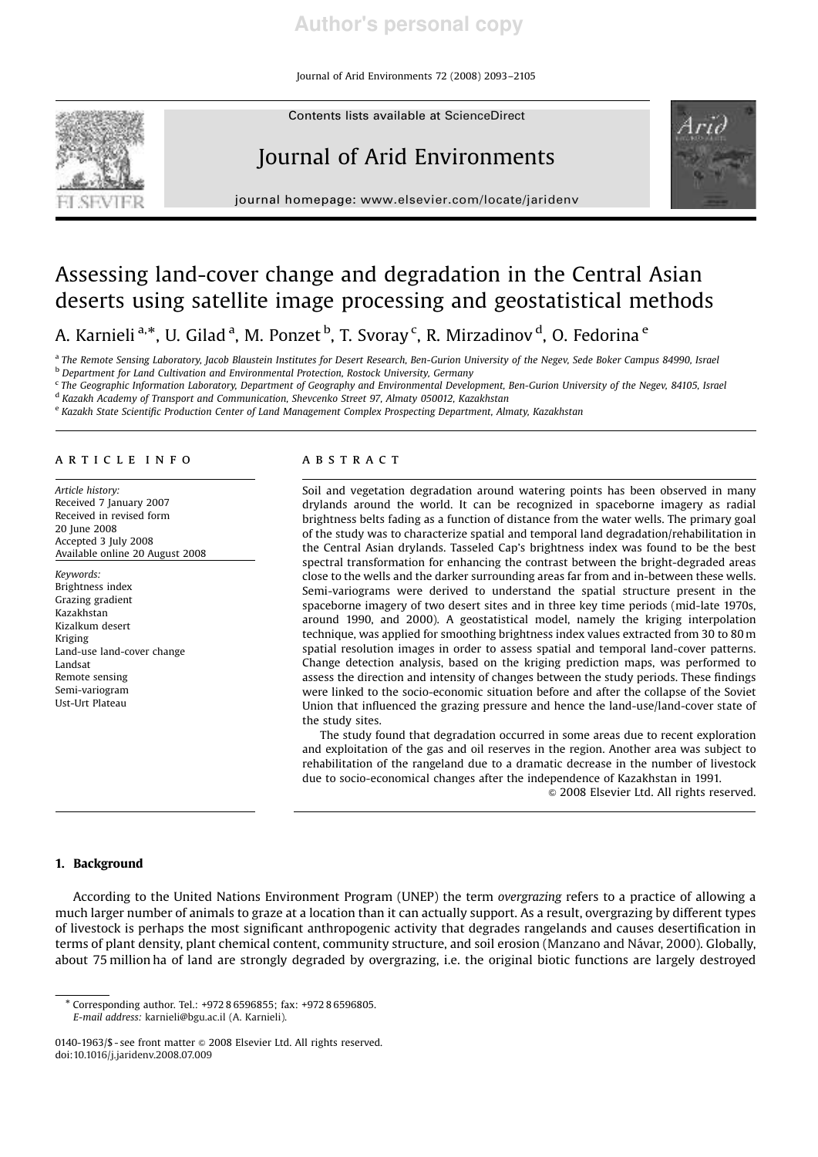Journal of Arid Environments 72 (2008) 2093–2105

Contents lists available at ScienceDirect

# Journal of Arid Environments



journal homepage: www.elsevier.com/locate/jaridenv

## Assessing land-cover change and degradation in the Central Asian deserts using satellite image processing and geostatistical methods

A. Karnieli <sup>a,</sup>\*, U. Gilad <sup>a</sup>, M. Ponzet <sup>b</sup>, T. Svoray <sup>c</sup>, R. Mirzadinov <sup>d</sup>, O. Fedorina <sup>e</sup>

a *The Remote Sensing Laboratory, Jacob Blaustein Institutes for Desert Research, Ben-Gurion University of the Negev, Sede Boker Campus 84990, Israel* <sup>b</sup> *Department for Land Cultivation and Environmental Protection, Rostock University, Germany*

c *The Geographic Information Laboratory, Department of Geography and Environmental Development, Ben-Gurion University of the Negev, 84105, Israel* d *Kazakh Academy of Transport and Communication, Shevcenko Street 97, Almaty 050012, Kazakhstan*

e *Kazakh State Scientific Production Center of Land Management Complex Prospecting Department, Almaty, Kazakhstan*

## article info

*Article history:* Received 7 January 2007 Received in revised form 20 June 2008 Accepted 3 July 2008 Available online 20 August 2008

*Keywords:* Brightness index Grazing gradient Kazakhstan Kizalkum desert Kriging Land-use land-cover change Landsat Remote sensing Semi-variogram Ust-Urt Plateau

## abstract

Soil and vegetation degradation around watering points has been observed in many drylands around the world. It can be recognized in spaceborne imagery as radial brightness belts fading as a function of distance from the water wells. The primary goal of the study was to characterize spatial and temporal land degradation/rehabilitation in the Central Asian drylands. Tasseled Cap's brightness index was found to be the best spectral transformation for enhancing the contrast between the bright-degraded areas close to the wells and the darker surrounding areas far from and in-between these wells. Semi-variograms were derived to understand the spatial structure present in the spaceborne imagery of two desert sites and in three key time periods (mid-late 1970s, around 1990, and 2000). A geostatistical model, namely the kriging interpolation technique, was applied for smoothing brightness index values extracted from 30 to 80 m spatial resolution images in order to assess spatial and temporal land-cover patterns. Change detection analysis, based on the kriging prediction maps, was performed to assess the direction and intensity of changes between the study periods. These findings were linked to the socio-economic situation before and after the collapse of the Soviet Union that influenced the grazing pressure and hence the land-use/land-cover state of the study sites.

The study found that degradation occurred in some areas due to recent exploration and exploitation of the gas and oil reserves in the region. Another area was subject to rehabilitation of the rangeland due to a dramatic decrease in the number of livestock due to socio-economical changes after the independence of Kazakhstan in 1991.

& 2008 Elsevier Ltd. All rights reserved.

## 1. Background

According to the United Nations Environment Program (UNEP) the term *overgrazing* refers to a practice of allowing a much larger number of animals to graze at a location than it can actually support. As a result, overgrazing by different types of livestock is perhaps the most significant anthropogenic activity that degrades rangelands and causes desertification in terms of plant density, plant chemical content, community structure, and soil erosion (Manzano and Návar, 2000). Globally, about 75 million ha of land are strongly degraded by overgrazing, i.e. the original biotic functions are largely destroyed

<sup>-</sup> Corresponding author. Tel.: +972 8 6596855; fax: +972 8 6596805. *E-mail address:* karnieli@bgu.ac.il (A. Karnieli).

<sup>0140-1963/\$ -</sup> see front matter © 2008 Elsevier Ltd. All rights reserved. doi:10.1016/j.jaridenv.2008.07.009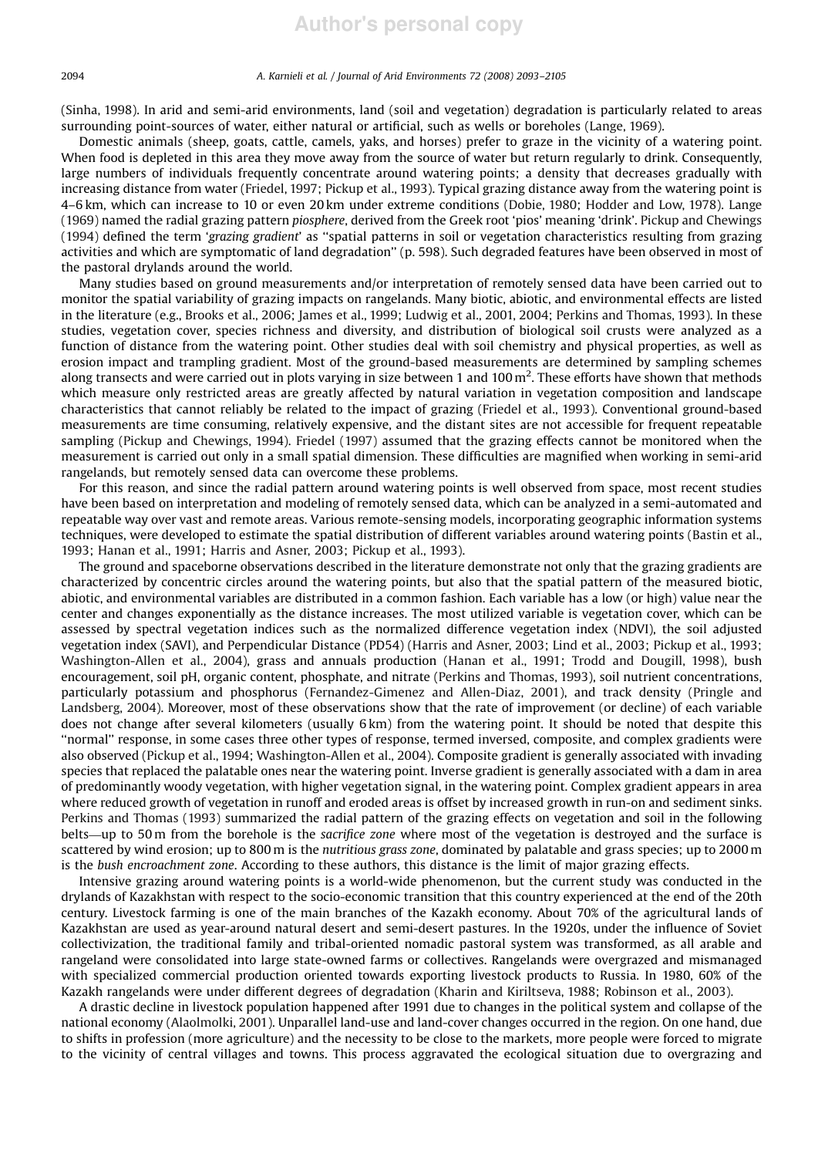(Sinha, 1998). In arid and semi-arid environments, land (soil and vegetation) degradation is particularly related to areas surrounding point-sources of water, either natural or artificial, such as wells or boreholes (Lange, 1969).

Domestic animals (sheep, goats, cattle, camels, yaks, and horses) prefer to graze in the vicinity of a watering point. When food is depleted in this area they move away from the source of water but return regularly to drink. Consequently, large numbers of individuals frequently concentrate around watering points; a density that decreases gradually with increasing distance from water (Friedel, 1997; Pickup et al., 1993). Typical grazing distance away from the watering point is 4–6 km, which can increase to 10 or even 20 km under extreme conditions (Dobie, 1980; Hodder and Low, 1978). Lange (1969) named the radial grazing pattern *piosphere*, derived from the Greek root 'pios' meaning 'drink'. Pickup and Chewings (1994) defined the term '*grazing gradient*' as ''spatial patterns in soil or vegetation characteristics resulting from grazing activities and which are symptomatic of land degradation'' (p. 598). Such degraded features have been observed in most of the pastoral drylands around the world.

Many studies based on ground measurements and/or interpretation of remotely sensed data have been carried out to monitor the spatial variability of grazing impacts on rangelands. Many biotic, abiotic, and environmental effects are listed in the literature (e.g., Brooks et al., 2006; James et al., 1999; Ludwig et al., 2001, 2004; Perkins and Thomas, 1993). In these studies, vegetation cover, species richness and diversity, and distribution of biological soil crusts were analyzed as a function of distance from the watering point. Other studies deal with soil chemistry and physical properties, as well as erosion impact and trampling gradient. Most of the ground-based measurements are determined by sampling schemes along transects and were carried out in plots varying in size between 1 and 100 m<sup>2</sup>. These efforts have shown that methods which measure only restricted areas are greatly affected by natural variation in vegetation composition and landscape characteristics that cannot reliably be related to the impact of grazing (Friedel et al., 1993). Conventional ground-based measurements are time consuming, relatively expensive, and the distant sites are not accessible for frequent repeatable sampling (Pickup and Chewings, 1994). Friedel (1997) assumed that the grazing effects cannot be monitored when the measurement is carried out only in a small spatial dimension. These difficulties are magnified when working in semi-arid rangelands, but remotely sensed data can overcome these problems.

For this reason, and since the radial pattern around watering points is well observed from space, most recent studies have been based on interpretation and modeling of remotely sensed data, which can be analyzed in a semi-automated and repeatable way over vast and remote areas. Various remote-sensing models, incorporating geographic information systems techniques, were developed to estimate the spatial distribution of different variables around watering points (Bastin et al., 1993; Hanan et al., 1991; Harris and Asner, 2003; Pickup et al., 1993).

The ground and spaceborne observations described in the literature demonstrate not only that the grazing gradients are characterized by concentric circles around the watering points, but also that the spatial pattern of the measured biotic, abiotic, and environmental variables are distributed in a common fashion. Each variable has a low (or high) value near the center and changes exponentially as the distance increases. The most utilized variable is vegetation cover, which can be assessed by spectral vegetation indices such as the normalized difference vegetation index (NDVI), the soil adjusted vegetation index (SAVI), and Perpendicular Distance (PD54) (Harris and Asner, 2003; Lind et al., 2003; Pickup et al., 1993; Washington-Allen et al., 2004), grass and annuals production (Hanan et al., 1991; Trodd and Dougill, 1998), bush encouragement, soil pH, organic content, phosphate, and nitrate (Perkins and Thomas, 1993), soil nutrient concentrations, particularly potassium and phosphorus (Fernandez-Gimenez and Allen-Diaz, 2001), and track density (Pringle and Landsberg, 2004). Moreover, most of these observations show that the rate of improvement (or decline) of each variable does not change after several kilometers (usually 6 km) from the watering point. It should be noted that despite this ''normal'' response, in some cases three other types of response, termed inversed, composite, and complex gradients were also observed (Pickup et al., 1994; Washington-Allen et al., 2004). Composite gradient is generally associated with invading species that replaced the palatable ones near the watering point. Inverse gradient is generally associated with a dam in area of predominantly woody vegetation, with higher vegetation signal, in the watering point. Complex gradient appears in area where reduced growth of vegetation in runoff and eroded areas is offset by increased growth in run-on and sediment sinks. Perkins and Thomas (1993) summarized the radial pattern of the grazing effects on vegetation and soil in the following belts—up to 50 m from the borehole is the *sacrifice zone* where most of the vegetation is destroyed and the surface is scattered by wind erosion; up to 800 m is the *nutritious grass zone*, dominated by palatable and grass species; up to 2000 m is the *bush encroachment zone*. According to these authors, this distance is the limit of major grazing effects.

Intensive grazing around watering points is a world-wide phenomenon, but the current study was conducted in the drylands of Kazakhstan with respect to the socio-economic transition that this country experienced at the end of the 20th century. Livestock farming is one of the main branches of the Kazakh economy. About 70% of the agricultural lands of Kazakhstan are used as year-around natural desert and semi-desert pastures. In the 1920s, under the influence of Soviet collectivization, the traditional family and tribal-oriented nomadic pastoral system was transformed, as all arable and rangeland were consolidated into large state-owned farms or collectives. Rangelands were overgrazed and mismanaged with specialized commercial production oriented towards exporting livestock products to Russia. In 1980, 60% of the Kazakh rangelands were under different degrees of degradation (Kharin and Kiriltseva, 1988; Robinson et al., 2003).

A drastic decline in livestock population happened after 1991 due to changes in the political system and collapse of the national economy (Alaolmolki, 2001). Unparallel land-use and land-cover changes occurred in the region. On one hand, due to shifts in profession (more agriculture) and the necessity to be close to the markets, more people were forced to migrate to the vicinity of central villages and towns. This process aggravated the ecological situation due to overgrazing and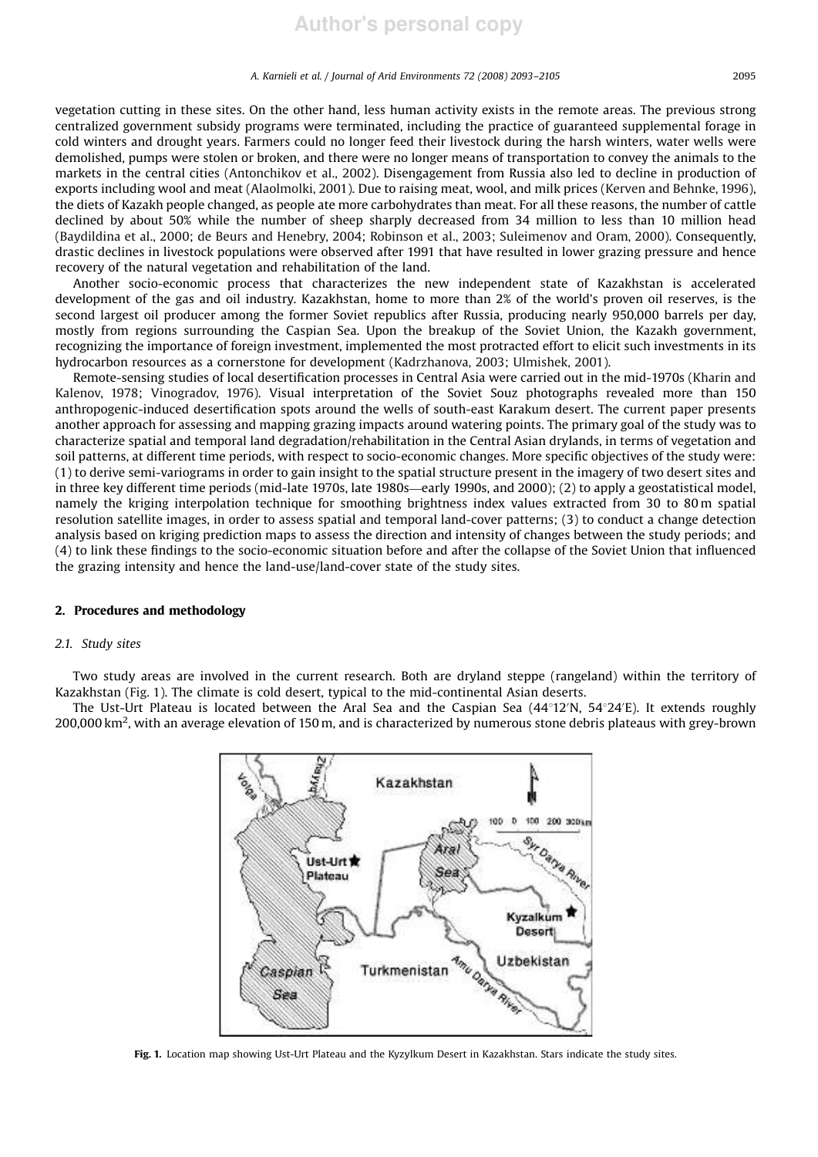vegetation cutting in these sites. On the other hand, less human activity exists in the remote areas. The previous strong centralized government subsidy programs were terminated, including the practice of guaranteed supplemental forage in cold winters and drought years. Farmers could no longer feed their livestock during the harsh winters, water wells were demolished, pumps were stolen or broken, and there were no longer means of transportation to convey the animals to the markets in the central cities (Antonchikov et al., 2002). Disengagement from Russia also led to decline in production of exports including wool and meat (Alaolmolki, 2001). Due to raising meat, wool, and milk prices (Kerven and Behnke, 1996), the diets of Kazakh people changed, as people ate more carbohydrates than meat. For all these reasons, the number of cattle declined by about 50% while the number of sheep sharply decreased from 34 million to less than 10 million head (Baydildina et al., 2000; de Beurs and Henebry, 2004; Robinson et al., 2003; Suleimenov and Oram, 2000). Consequently, drastic declines in livestock populations were observed after 1991 that have resulted in lower grazing pressure and hence recovery of the natural vegetation and rehabilitation of the land.

Another socio-economic process that characterizes the new independent state of Kazakhstan is accelerated development of the gas and oil industry. Kazakhstan, home to more than 2% of the world's proven oil reserves, is the second largest oil producer among the former Soviet republics after Russia, producing nearly 950,000 barrels per day, mostly from regions surrounding the Caspian Sea. Upon the breakup of the Soviet Union, the Kazakh government, recognizing the importance of foreign investment, implemented the most protracted effort to elicit such investments in its hydrocarbon resources as a cornerstone for development (Kadrzhanova, 2003; Ulmishek, 2001).

Remote-sensing studies of local desertification processes in Central Asia were carried out in the mid-1970s (Kharin and Kalenov, 1978; Vinogradov, 1976). Visual interpretation of the Soviet Souz photographs revealed more than 150 anthropogenic-induced desertification spots around the wells of south-east Karakum desert. The current paper presents another approach for assessing and mapping grazing impacts around watering points. The primary goal of the study was to characterize spatial and temporal land degradation/rehabilitation in the Central Asian drylands, in terms of vegetation and soil patterns, at different time periods, with respect to socio-economic changes. More specific objectives of the study were: (1) to derive semi-variograms in order to gain insight to the spatial structure present in the imagery of two desert sites and in three key different time periods (mid-late 1970s, late 1980s—early 1990s, and 2000); (2) to apply a geostatistical model, namely the kriging interpolation technique for smoothing brightness index values extracted from 30 to 80 m spatial resolution satellite images, in order to assess spatial and temporal land-cover patterns; (3) to conduct a change detection analysis based on kriging prediction maps to assess the direction and intensity of changes between the study periods; and (4) to link these findings to the socio-economic situation before and after the collapse of the Soviet Union that influenced the grazing intensity and hence the land-use/land-cover state of the study sites.

## 2. Procedures and methodology

## *2.1. Study sites*

Two study areas are involved in the current research. Both are dryland steppe (rangeland) within the territory of Kazakhstan (Fig. 1). The climate is cold desert, typical to the mid-continental Asian deserts.

The Ust-Urt Plateau is located between the Aral Sea and the Caspian Sea  $(44^{\circ}12^{\prime}N, 54^{\circ}24^{\prime}E)$ . It extends roughly 200,000 km<sup>2</sup>, with an average elevation of 150 m, and is characterized by numerous stone debris plateaus with grey-brown



Fig. 1. Location map showing Ust-Urt Plateau and the Kyzylkum Desert in Kazakhstan. Stars indicate the study sites.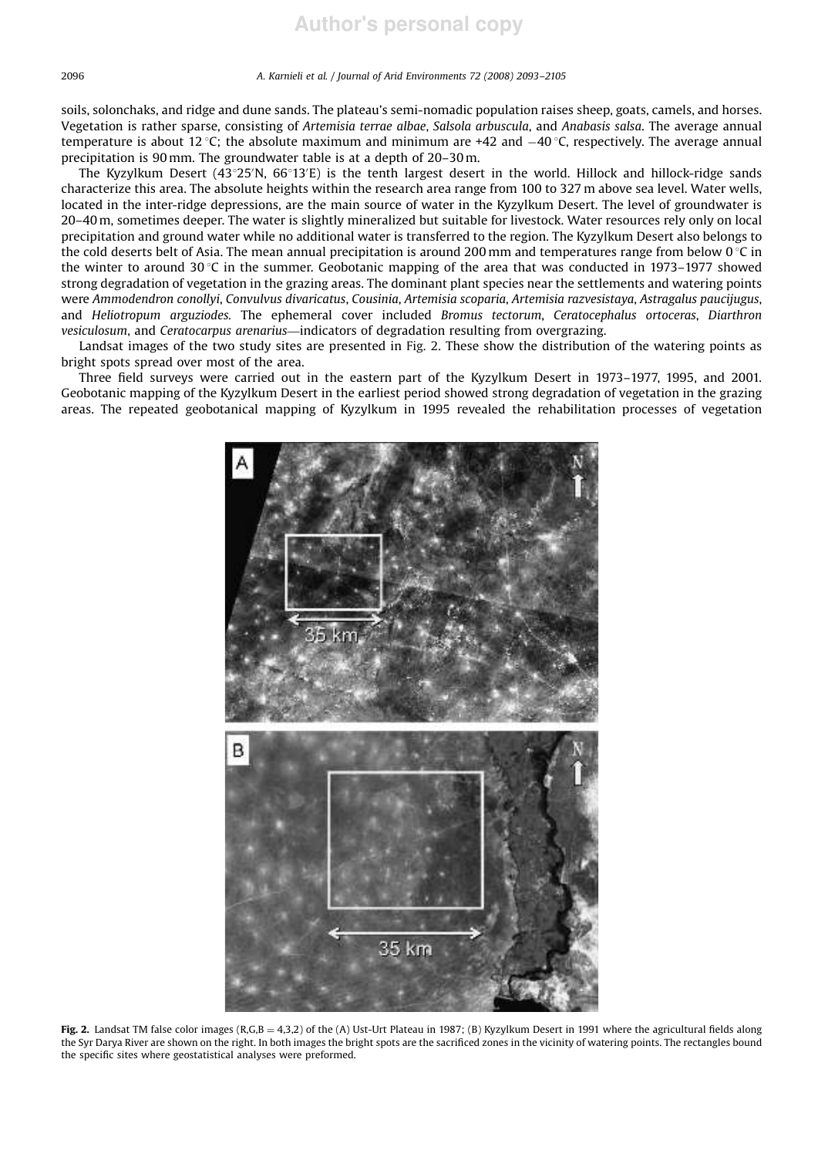soils, solonchaks, and ridge and dune sands. The plateau's semi-nomadic population raises sheep, goats, camels, and horses. Vegetation is rather sparse, consisting of *Artemisia terrae albae*, *Salsola arbuscula*, and *Anabasis salsa*. The average annual temperature is about 12 °C; the absolute maximum and minimum are +42 and  $-40$  °C, respectively. The average annual precipitation is 90 mm. The groundwater table is at a depth of 20–30 m.

The Kyzylkum Desert  $(43°25'N, 66°13'E)$  is the tenth largest desert in the world. Hillock and hillock-ridge sands characterize this area. The absolute heights within the research area range from 100 to 327 m above sea level. Water wells, located in the inter-ridge depressions, are the main source of water in the Kyzylkum Desert. The level of groundwater is 20–40 m, sometimes deeper. The water is slightly mineralized but suitable for livestock. Water resources rely only on local precipitation and ground water while no additional water is transferred to the region. The Kyzylkum Desert also belongs to the cold deserts belt of Asia. The mean annual precipitation is around 200 mm and temperatures range from below 0  $\degree$ C in the winter to around 30 °C in the summer. Geobotanic mapping of the area that was conducted in 1973–1977 showed strong degradation of vegetation in the grazing areas. The dominant plant species near the settlements and watering points were *Ammodendron conollyi*, *Convulvus divaricatus*, *Cousinia*, *Artemisia scoparia*, *Artemisia razvesistaya*, *Astragalus paucijugus*, and *Heliotropum arguziodes.* The ephemeral cover included *Bromus tectorum*, *Ceratocephalus ortoceras*, *Diarthron vesiculosum*, and *Ceratocarpus arenarius*—indicators of degradation resulting from overgrazing.

Landsat images of the two study sites are presented in Fig. 2. These show the distribution of the watering points as bright spots spread over most of the area.

Three field surveys were carried out in the eastern part of the Kyzylkum Desert in 1973–1977, 1995, and 2001. Geobotanic mapping of the Kyzylkum Desert in the earliest period showed strong degradation of vegetation in the grazing areas. The repeated geobotanical mapping of Kyzylkum in 1995 revealed the rehabilitation processes of vegetation



Fig. 2. Landsat TM false color images (R,G,B = 4,3,2) of the (A) Ust-Urt Plateau in 1987; (B) Kyzylkum Desert in 1991 where the agricultural fields along the Syr Darya River are shown on the right. In both images the bright spots are the sacrificed zones in the vicinity of watering points. The rectangles bound the specific sites where geostatistical analyses were preformed.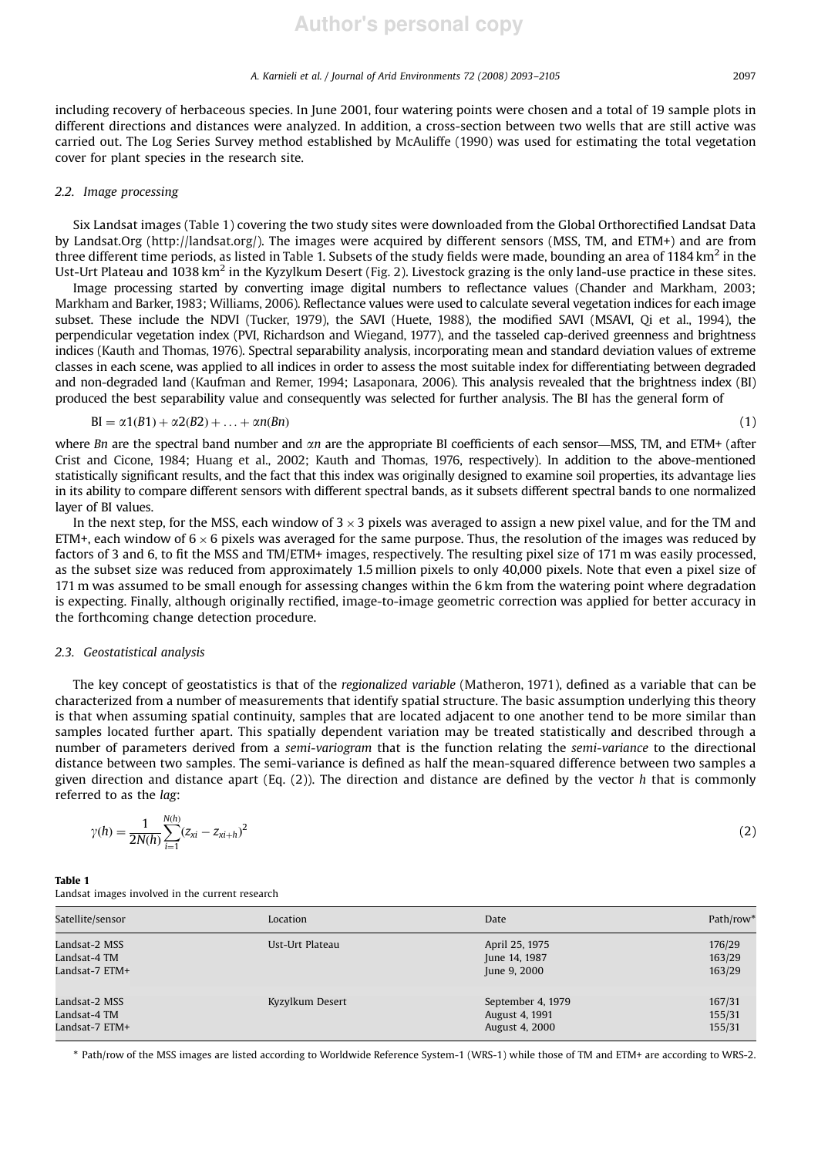including recovery of herbaceous species. In June 2001, four watering points were chosen and a total of 19 sample plots in different directions and distances were analyzed. In addition, a cross-section between two wells that are still active was carried out. The Log Series Survey method established by McAuliffe (1990) was used for estimating the total vegetation cover for plant species in the research site.

## *2.2. Image processing*

Six Landsat images (Table 1) covering the two study sites were downloaded from the Global Orthorectified Landsat Data by Landsat.Org (http://landsat.org/). The images were acquired by different sensors (MSS, TM, and ETM+) and are from three different time periods, as listed in Table 1. Subsets of the study fields were made, bounding an area of 1184 km $^2$  in the Ust-Urt Plateau and 1038 km<sup>2</sup> in the Kyzylkum Desert (Fig. 2). Livestock grazing is the only land-use practice in these sites.

Image processing started by converting image digital numbers to reflectance values (Chander and Markham, 2003; Markham and Barker, 1983; Williams, 2006). Reflectance values were used to calculate several vegetation indices for each image subset. These include the NDVI (Tucker, 1979), the SAVI (Huete, 1988), the modified SAVI (MSAVI, Qi et al., 1994), the perpendicular vegetation index (PVI, Richardson and Wiegand, 1977), and the tasseled cap-derived greenness and brightness indices (Kauth and Thomas, 1976). Spectral separability analysis, incorporating mean and standard deviation values of extreme classes in each scene, was applied to all indices in order to assess the most suitable index for differentiating between degraded and non-degraded land (Kaufman and Remer, 1994; Lasaponara, 2006). This analysis revealed that the brightness index (BI) produced the best separability value and consequently was selected for further analysis. The BI has the general form of

$$
BI = \alpha 1(B1) + \alpha 2(B2) + \ldots + \alpha n(Bn) \tag{1}
$$

where *Bn* are the spectral band number and  $\alpha n$  are the appropriate BI coefficients of each sensor—MSS, TM, and ETM+ (after Crist and Cicone, 1984; Huang et al., 2002; Kauth and Thomas, 1976, respectively). In addition to the above-mentioned statistically significant results, and the fact that this index was originally designed to examine soil properties, its advantage lies in its ability to compare different sensors with different spectral bands, as it subsets different spectral bands to one normalized layer of BI values.

In the next step, for the MSS, each window of  $3 \times 3$  pixels was averaged to assign a new pixel value, and for the TM and ETM+, each window of  $6 \times 6$  pixels was averaged for the same purpose. Thus, the resolution of the images was reduced by factors of 3 and 6, to fit the MSS and TM/ETM+ images, respectively. The resulting pixel size of 171 m was easily processed, as the subset size was reduced from approximately 1.5 million pixels to only 40,000 pixels. Note that even a pixel size of 171 m was assumed to be small enough for assessing changes within the 6 km from the watering point where degradation is expecting. Finally, although originally rectified, image-to-image geometric correction was applied for better accuracy in the forthcoming change detection procedure.

## *2.3. Geostatistical analysis*

The key concept of geostatistics is that of the *regionalized variable* (Matheron, 1971), defined as a variable that can be characterized from a number of measurements that identify spatial structure. The basic assumption underlying this theory is that when assuming spatial continuity, samples that are located adjacent to one another tend to be more similar than samples located further apart. This spatially dependent variation may be treated statistically and described through a number of parameters derived from a *semi-variogram* that is the function relating the *semi-variance* to the directional distance between two samples. The semi-variance is defined as half the mean-squared difference between two samples a given direction and distance apart (Eq. (2)). The direction and distance are defined by the vector *h* that is commonly referred to as the *lag*:

$$
\gamma(h) = \frac{1}{2N(h)} \sum_{i=1}^{N(h)} (z_{xi} - z_{xi+h})^2
$$
 (2)

Table 1 Landsat images involved in the current research

| Satellite/sensor | Location        | Date              | Path/row* |
|------------------|-----------------|-------------------|-----------|
| Landsat-2 MSS    | Ust-Urt Plateau | April 25, 1975    | 176/29    |
| Landsat-4 TM     |                 | June 14, 1987     | 163/29    |
| Landsat-7 ETM+   |                 | June 9, 2000      | 163/29    |
| Landsat-2 MSS    | Kyzylkum Desert | September 4, 1979 | 167/31    |
| Landsat-4 TM     |                 | August 4, 1991    | 155/31    |
| Landsat-7 ETM+   |                 | August 4, 2000    | 155/31    |

- Path/row of the MSS images are listed according to Worldwide Reference System-1 (WRS-1) while those of TM and ETM+ are according to WRS-2.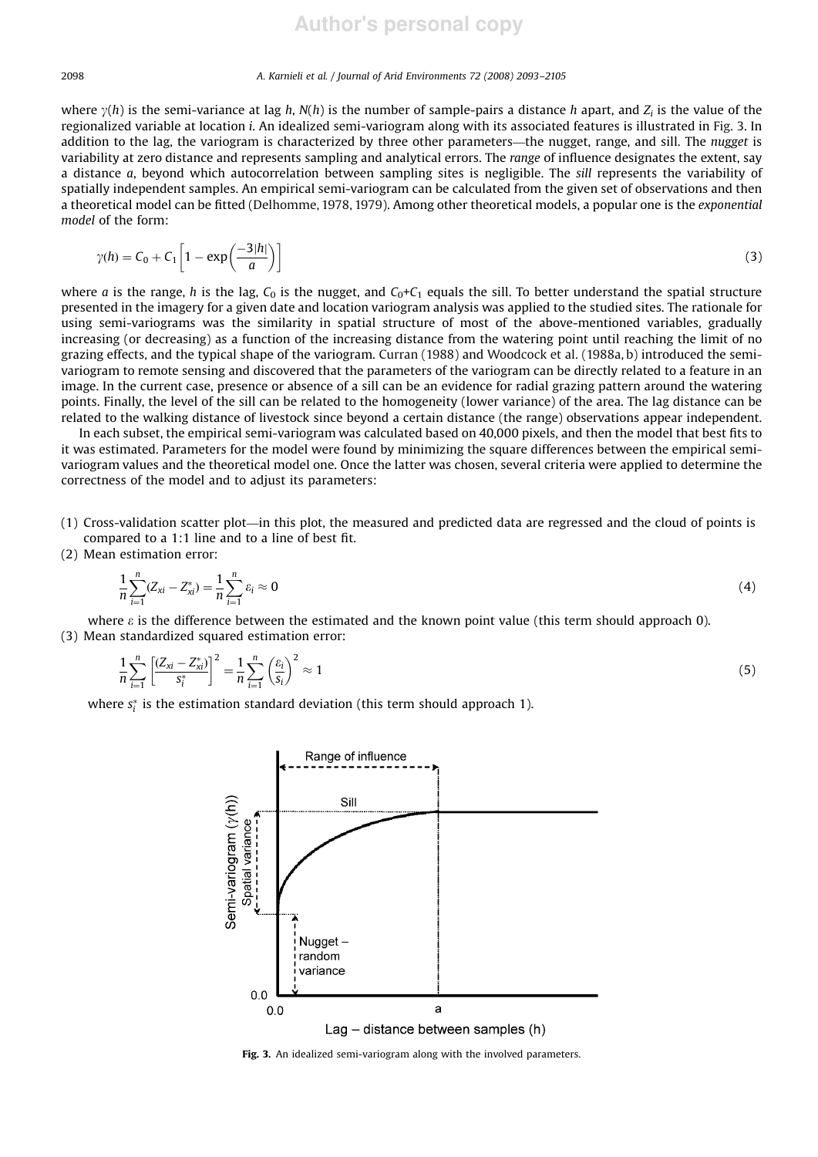where  $\gamma(h)$  is the semi-variance at lag *h*,  $N(h)$  is the number of sample-pairs a distance *h* apart, and  $Z_i$  is the value of the regionalized variable at location *i*. An idealized semi-variogram along with its associated features is illustrated in Fig. 3. In addition to the lag, the variogram is characterized by three other parameters—the nugget, range, and sill. The *nugget* is variability at zero distance and represents sampling and analytical errors. The *range* of influence designates the extent, say a distance *a*, beyond which autocorrelation between sampling sites is negligible. The *sill* represents the variability of spatially independent samples. An empirical semi-variogram can be calculated from the given set of observations and then a theoretical model can be fitted (Delhomme, 1978, 1979). Among other theoretical models, a popular one is the *exponential model* of the form:

$$
\gamma(h) = C_0 + C_1 \left[ 1 - \exp\left(\frac{-3|h|}{a}\right) \right] \tag{3}
$$

where *a* is the range, *h* is the lag,  $C_0$  is the nugget, and  $C_0 + C_1$  equals the sill. To better understand the spatial structure presented in the imagery for a given date and location variogram analysis was applied to the studied sites. The rationale for using semi-variograms was the similarity in spatial structure of most of the above-mentioned variables, gradually increasing (or decreasing) as a function of the increasing distance from the watering point until reaching the limit of no grazing effects, and the typical shape of the variogram. Curran (1988) and Woodcock et al. (1988a, b) introduced the semivariogram to remote sensing and discovered that the parameters of the variogram can be directly related to a feature in an image. In the current case, presence or absence of a sill can be an evidence for radial grazing pattern around the watering points. Finally, the level of the sill can be related to the homogeneity (lower variance) of the area. The lag distance can be related to the walking distance of livestock since beyond a certain distance (the range) observations appear independent.

In each subset, the empirical semi-variogram was calculated based on 40,000 pixels, and then the model that best fits to it was estimated. Parameters for the model were found by minimizing the square differences between the empirical semivariogram values and the theoretical model one. Once the latter was chosen, several criteria were applied to determine the correctness of the model and to adjust its parameters:

- (1) Cross-validation scatter plot—in this plot, the measured and predicted data are regressed and the cloud of points is compared to a 1:1 line and to a line of best fit.
- (2) Mean estimation error:

$$
\frac{1}{n}\sum_{i=1}^{n}(Z_{xi}-Z_{xi}^{*})=\frac{1}{n}\sum_{i=1}^{n}\varepsilon_{i}\approx 0
$$
\n(4)

where  $\varepsilon$  is the difference between the estimated and the known point value (this term should approach 0). (3) Mean standardized squared estimation error:

$$
\frac{1}{n}\sum_{i=1}^{n} \left[ \frac{(Z_{xi} - Z_{xi}^{*})}{s_{i}^{*}} \right]^{2} = \frac{1}{n}\sum_{i=1}^{n} \left( \frac{\varepsilon_{i}}{s_{i}} \right)^{2} \approx 1
$$
\n(5)

where  $s_i^*$  is the estimation standard deviation (this term should approach 1).



Fig. 3. An idealized semi-variogram along with the involved parameters.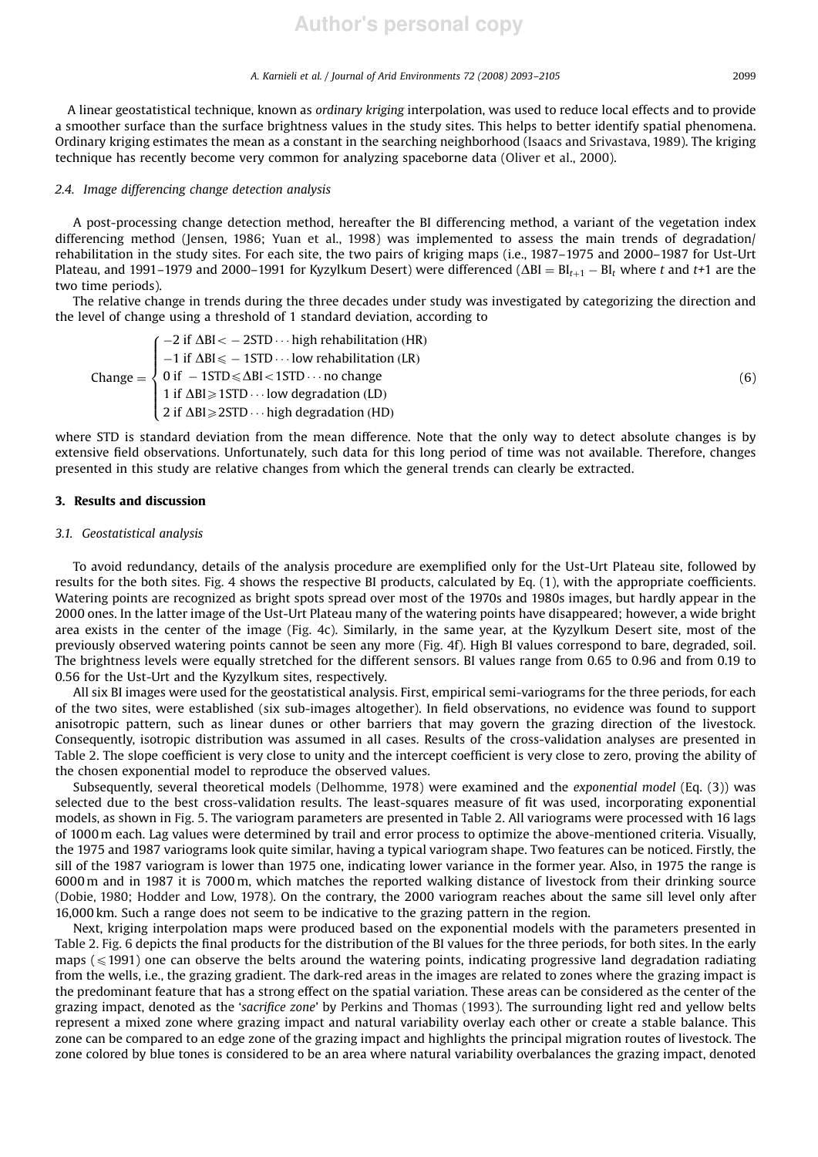A linear geostatistical technique, known as *ordinary kriging* interpolation, was used to reduce local effects and to provide a smoother surface than the surface brightness values in the study sites. This helps to better identify spatial phenomena. Ordinary kriging estimates the mean as a constant in the searching neighborhood (Isaacs and Srivastava, 1989). The kriging technique has recently become very common for analyzing spaceborne data (Oliver et al., 2000).

#### *2.4. Image differencing change detection analysis*

A post-processing change detection method, hereafter the BI differencing method, a variant of the vegetation index differencing method (Jensen, 1986; Yuan et al., 1998) was implemented to assess the main trends of degradation/ rehabilitation in the study sites. For each site, the two pairs of kriging maps (i.e., 1987–1975 and 2000–1987 for Ust-Urt Plateau, and 1991–1979 and 2000–1991 for Kyzylkum Desert) were differenced ( $\Delta$ BI = BI<sub>t+1</sub> – BI<sub>t</sub> where *t* and *t+*1 are the two time periods).

The relative change in trends during the three decades under study was investigated by categorizing the direction and the level of change using a threshold of 1 standard deviation, according to

$$
Change = \begin{cases}\n-2 \text{ if } \Delta BI < -2STD \cdots \text{ high rehabilitation (HR)} \\
-1 \text{ if } \Delta BI \le -1STD \cdots \text{ low rehabilitation (LR)} \\
0 \text{ if } -1STD \le \Delta BI < 1STD \cdots \text{ no change} \\
1 \text{ if } \Delta BI \ge 1STD \cdots \text{ low degradation (LD)} \\
2 \text{ if } \Delta BI \ge 2STD \cdots \text{ high degradation (HD)}\n\end{cases} \tag{6}
$$

where STD is standard deviation from the mean difference. Note that the only way to detect absolute changes is by extensive field observations. Unfortunately, such data for this long period of time was not available. Therefore, changes presented in this study are relative changes from which the general trends can clearly be extracted.

#### 3. Results and discussion

## *3.1. Geostatistical analysis*

To avoid redundancy, details of the analysis procedure are exemplified only for the Ust-Urt Plateau site, followed by results for the both sites. Fig. 4 shows the respective BI products, calculated by Eq. (1), with the appropriate coefficients. Watering points are recognized as bright spots spread over most of the 1970s and 1980s images, but hardly appear in the 2000 ones. In the latter image of the Ust-Urt Plateau many of the watering points have disappeared; however, a wide bright area exists in the center of the image (Fig. 4c). Similarly, in the same year, at the Kyzylkum Desert site, most of the previously observed watering points cannot be seen any more (Fig. 4f). High BI values correspond to bare, degraded, soil. The brightness levels were equally stretched for the different sensors. BI values range from 0.65 to 0.96 and from 0.19 to 0.56 for the Ust-Urt and the Kyzylkum sites, respectively.

All six BI images were used for the geostatistical analysis. First, empirical semi-variograms for the three periods, for each of the two sites, were established (six sub-images altogether). In field observations, no evidence was found to support anisotropic pattern, such as linear dunes or other barriers that may govern the grazing direction of the livestock. Consequently, isotropic distribution was assumed in all cases. Results of the cross-validation analyses are presented in Table 2. The slope coefficient is very close to unity and the intercept coefficient is very close to zero, proving the ability of the chosen exponential model to reproduce the observed values.

Subsequently, several theoretical models (Delhomme, 1978) were examined and the *exponential model* (Eq. (3)) was selected due to the best cross-validation results. The least-squares measure of fit was used, incorporating exponential models, as shown in Fig. 5. The variogram parameters are presented in Table 2. All variograms were processed with 16 lags of 1000 m each. Lag values were determined by trail and error process to optimize the above-mentioned criteria. Visually, the 1975 and 1987 variograms look quite similar, having a typical variogram shape. Two features can be noticed. Firstly, the sill of the 1987 variogram is lower than 1975 one, indicating lower variance in the former year. Also, in 1975 the range is 6000 m and in 1987 it is 7000 m, which matches the reported walking distance of livestock from their drinking source (Dobie, 1980; Hodder and Low, 1978). On the contrary, the 2000 variogram reaches about the same sill level only after 16,000 km. Such a range does not seem to be indicative to the grazing pattern in the region.

Next, kriging interpolation maps were produced based on the exponential models with the parameters presented in Table 2. Fig. 6 depicts the final products for the distribution of the BI values for the three periods, for both sites. In the early maps ( $\leq$ 1991) one can observe the belts around the watering points, indicating progressive land degradation radiating from the wells, i.e., the grazing gradient. The dark-red areas in the images are related to zones where the grazing impact is the predominant feature that has a strong effect on the spatial variation. These areas can be considered as the center of the grazing impact, denoted as the '*sacrifice zone*' by Perkins and Thomas (1993). The surrounding light red and yellow belts represent a mixed zone where grazing impact and natural variability overlay each other or create a stable balance. This zone can be compared to an edge zone of the grazing impact and highlights the principal migration routes of livestock. The zone colored by blue tones is considered to be an area where natural variability overbalances the grazing impact, denoted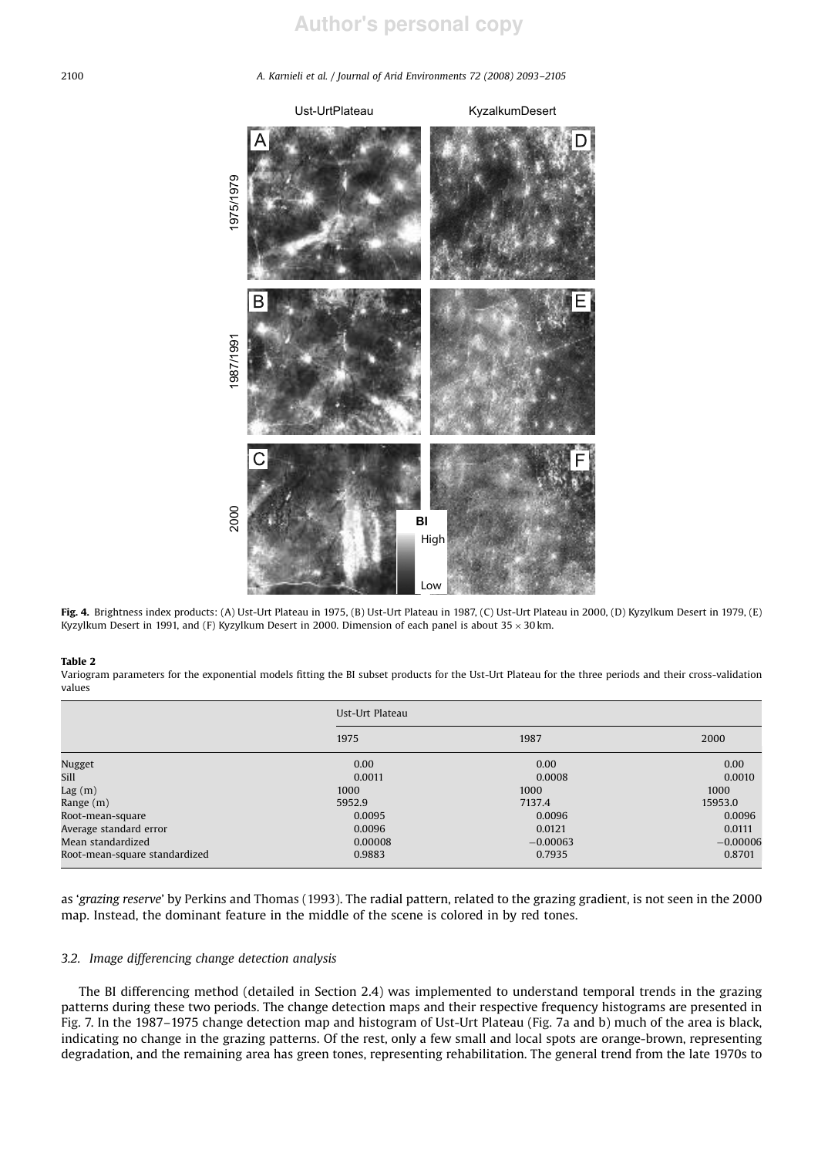

Fig. 4. Brightness index products: (A) Ust-Urt Plateau in 1975, (B) Ust-Urt Plateau in 1987, (C) Ust-Urt Plateau in 2000, (D) Kyzylkum Desert in 1979, (E) Kyzylkum Desert in 1991, and (F) Kyzylkum Desert in 2000. Dimension of each panel is about  $35 \times 30$  km.

#### Table 2

Variogram parameters for the exponential models fitting the BI subset products for the Ust-Urt Plateau for the three periods and their cross-validation values

|                               | Ust-Urt Plateau |            |            |  |  |
|-------------------------------|-----------------|------------|------------|--|--|
|                               | 1975            | 1987       | 2000       |  |  |
| Nugget                        | 0.00            | 0.00       | 0.00       |  |  |
| <b>Sill</b>                   | 0.0011          | 0.0008     | 0.0010     |  |  |
| Lag(m)                        | 1000            | 1000       | 1000       |  |  |
| Range (m)                     | 5952.9          | 7137.4     | 15953.0    |  |  |
| Root-mean-square              | 0.0095          | 0.0096     | 0.0096     |  |  |
| Average standard error        | 0.0096          | 0.0121     | 0.0111     |  |  |
| Mean standardized             | 0.00008         | $-0.00063$ | $-0.00006$ |  |  |
| Root-mean-square standardized | 0.9883          | 0.7935     | 0.8701     |  |  |

as '*grazing reserve*' by Perkins and Thomas (1993). The radial pattern, related to the grazing gradient, is not seen in the 2000 map. Instead, the dominant feature in the middle of the scene is colored in by red tones.

### *3.2. Image differencing change detection analysis*

The BI differencing method (detailed in Section 2.4) was implemented to understand temporal trends in the grazing patterns during these two periods. The change detection maps and their respective frequency histograms are presented in Fig. 7. In the 1987–1975 change detection map and histogram of Ust-Urt Plateau (Fig. 7a and b) much of the area is black, indicating no change in the grazing patterns. Of the rest, only a few small and local spots are orange-brown, representing degradation, and the remaining area has green tones, representing rehabilitation. The general trend from the late 1970s to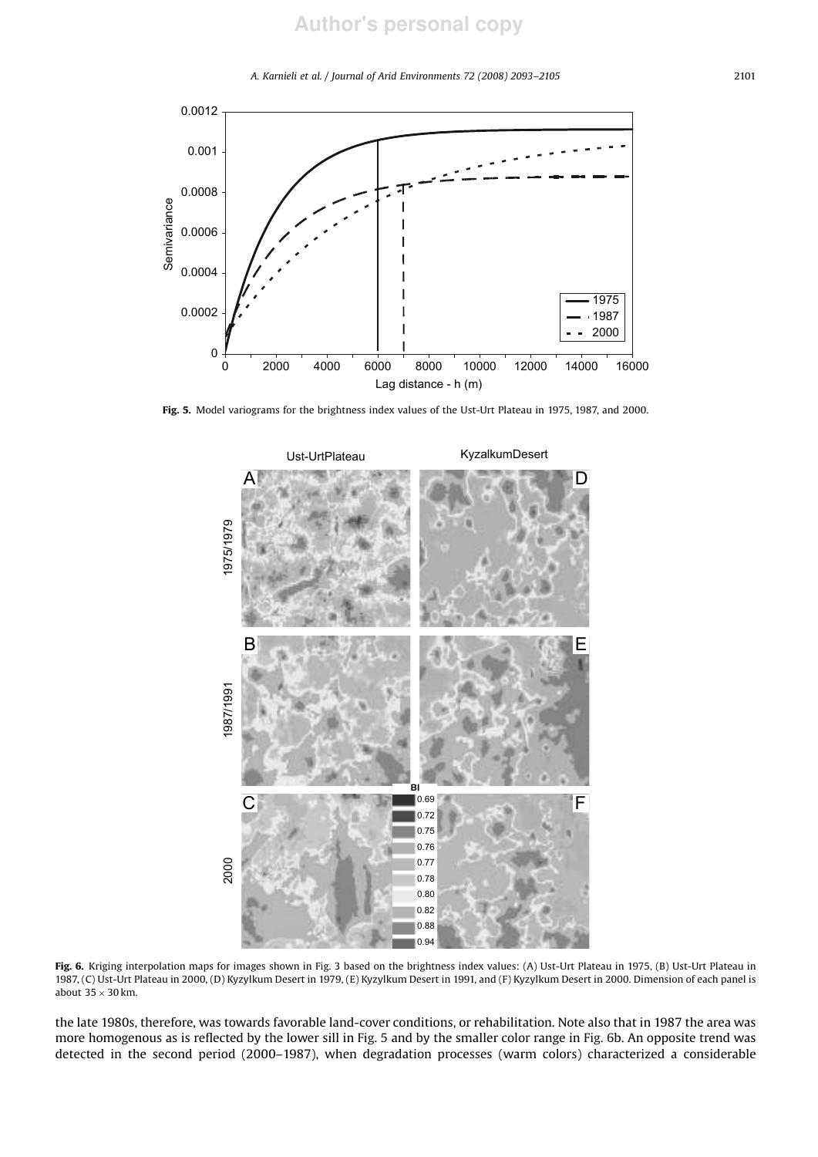*A. Karnieli et al. / Journal of Arid Environments 72 (2008) 2093–2105* 2101



Fig. 5. Model variograms for the brightness index values of the Ust-Urt Plateau in 1975, 1987, and 2000.



Fig. 6. Kriging interpolation maps for images shown in Fig. 3 based on the brightness index values: (A) Ust-Urt Plateau in 1975, (B) Ust-Urt Plateau in 1987, (C) Ust-Urt Plateau in 2000, (D) Kyzylkum Desert in 1979, (E) Kyzylkum Desert in 1991, and (F) Kyzylkum Desert in 2000. Dimension of each panel is about  $35 \times 30$  km.

the late 1980s, therefore, was towards favorable land-cover conditions, or rehabilitation. Note also that in 1987 the area was more homogenous as is reflected by the lower sill in Fig. 5 and by the smaller color range in Fig. 6b. An opposite trend was detected in the second period (2000–1987), when degradation processes (warm colors) characterized a considerable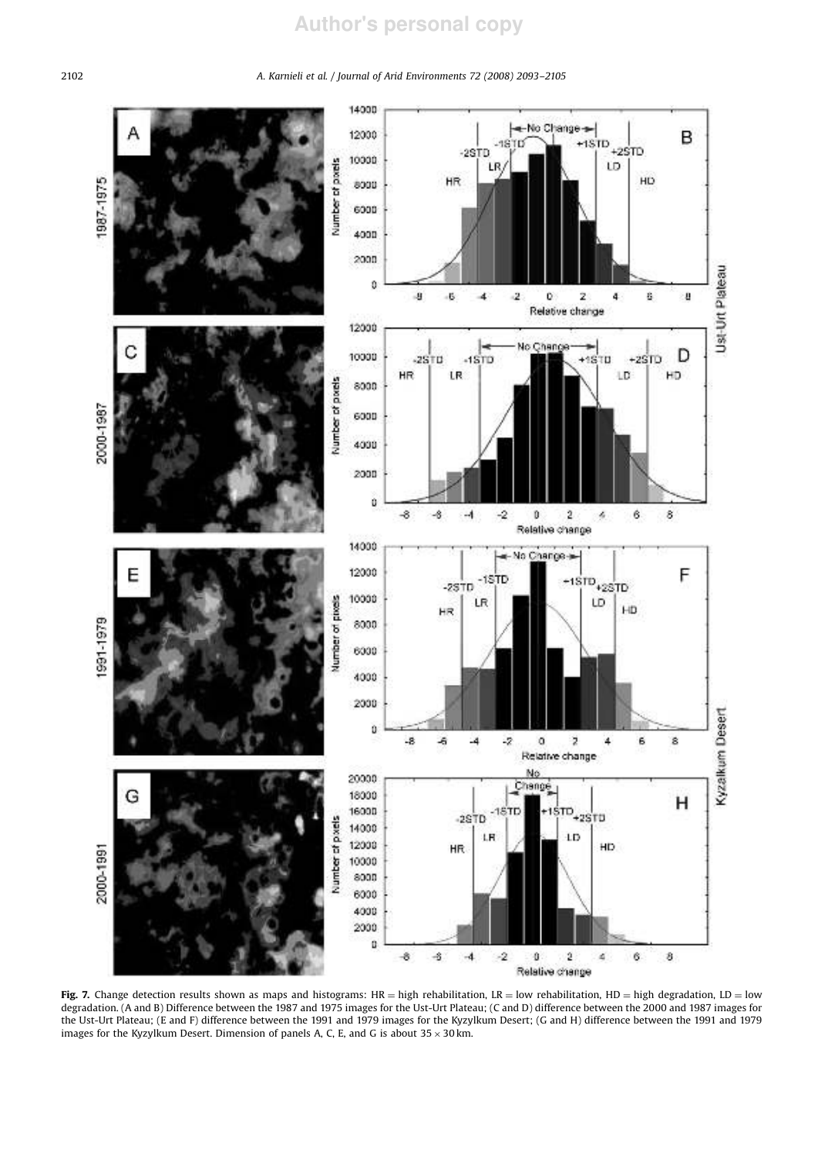

Fig. 7. Change detection results shown as maps and histograms: HR = high rehabilitation, LR = low rehabilitation, HD = high degradation, LD = low degradation. (A and B) Difference between the 1987 and 1975 images for the Ust-Urt Plateau; (C and D) difference between the 2000 and 1987 images for the Ust-Urt Plateau; (E and F) difference between the 1991 and 1979 images for the Kyzylkum Desert; (G and H) difference between the 1991 and 1979 images for the Kyzylkum Desert. Dimension of panels A, C, E, and G is about  $35 \times 30$  km.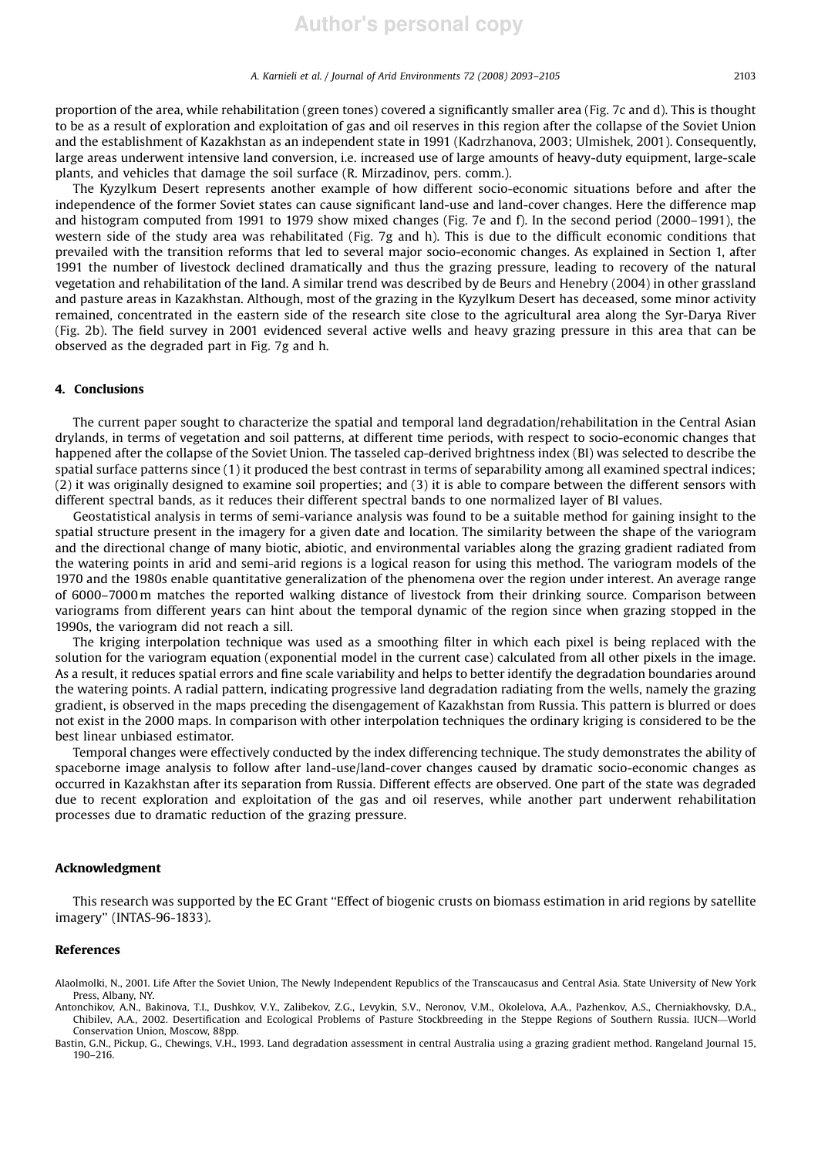proportion of the area, while rehabilitation (green tones) covered a significantly smaller area (Fig. 7c and d). This is thought to be as a result of exploration and exploitation of gas and oil reserves in this region after the collapse of the Soviet Union and the establishment of Kazakhstan as an independent state in 1991 (Kadrzhanova, 2003; Ulmishek, 2001). Consequently, large areas underwent intensive land conversion, i.e. increased use of large amounts of heavy-duty equipment, large-scale plants, and vehicles that damage the soil surface (R. Mirzadinov, pers. comm.).

The Kyzylkum Desert represents another example of how different socio-economic situations before and after the independence of the former Soviet states can cause significant land-use and land-cover changes. Here the difference map and histogram computed from 1991 to 1979 show mixed changes (Fig. 7e and f). In the second period (2000–1991), the western side of the study area was rehabilitated (Fig. 7g and h). This is due to the difficult economic conditions that prevailed with the transition reforms that led to several major socio-economic changes. As explained in Section 1, after 1991 the number of livestock declined dramatically and thus the grazing pressure, leading to recovery of the natural vegetation and rehabilitation of the land. A similar trend was described by de Beurs and Henebry (2004) in other grassland and pasture areas in Kazakhstan. Although, most of the grazing in the Kyzylkum Desert has deceased, some minor activity remained, concentrated in the eastern side of the research site close to the agricultural area along the Syr-Darya River (Fig. 2b). The field survey in 2001 evidenced several active wells and heavy grazing pressure in this area that can be observed as the degraded part in Fig. 7g and h.

## 4. Conclusions

The current paper sought to characterize the spatial and temporal land degradation/rehabilitation in the Central Asian drylands, in terms of vegetation and soil patterns, at different time periods, with respect to socio-economic changes that happened after the collapse of the Soviet Union. The tasseled cap-derived brightness index (BI) was selected to describe the spatial surface patterns since (1) it produced the best contrast in terms of separability among all examined spectral indices; (2) it was originally designed to examine soil properties; and (3) it is able to compare between the different sensors with different spectral bands, as it reduces their different spectral bands to one normalized layer of BI values.

Geostatistical analysis in terms of semi-variance analysis was found to be a suitable method for gaining insight to the spatial structure present in the imagery for a given date and location. The similarity between the shape of the variogram and the directional change of many biotic, abiotic, and environmental variables along the grazing gradient radiated from the watering points in arid and semi-arid regions is a logical reason for using this method. The variogram models of the 1970 and the 1980s enable quantitative generalization of the phenomena over the region under interest. An average range of 6000–7000 m matches the reported walking distance of livestock from their drinking source. Comparison between variograms from different years can hint about the temporal dynamic of the region since when grazing stopped in the 1990s, the variogram did not reach a sill.

The kriging interpolation technique was used as a smoothing filter in which each pixel is being replaced with the solution for the variogram equation (exponential model in the current case) calculated from all other pixels in the image. As a result, it reduces spatial errors and fine scale variability and helps to better identify the degradation boundaries around the watering points. A radial pattern, indicating progressive land degradation radiating from the wells, namely the grazing gradient, is observed in the maps preceding the disengagement of Kazakhstan from Russia. This pattern is blurred or does not exist in the 2000 maps. In comparison with other interpolation techniques the ordinary kriging is considered to be the best linear unbiased estimator.

Temporal changes were effectively conducted by the index differencing technique. The study demonstrates the ability of spaceborne image analysis to follow after land-use/land-cover changes caused by dramatic socio-economic changes as occurred in Kazakhstan after its separation from Russia. Different effects are observed. One part of the state was degraded due to recent exploration and exploitation of the gas and oil reserves, while another part underwent rehabilitation processes due to dramatic reduction of the grazing pressure.

## Acknowledgment

This research was supported by the EC Grant ''Effect of biogenic crusts on biomass estimation in arid regions by satellite imagery'' (INTAS-96-1833).

#### References

- Alaolmolki, N., 2001. Life After the Soviet Union, The Newly Independent Republics of the Transcaucasus and Central Asia. State University of New York Press, Albany, NY.
- Antonchikov, A.N., Bakinova, T.I., Dushkov, V.Y., Zalibekov, Z.G., Levykin, S.V., Neronov, V.M., Okolelova, A.A., Pazhenkov, A.S., Cherniakhovsky, D.A., Chibilev, A.A., 2002. Desertification and Ecological Problems of Pasture Stockbreeding in the Steppe Regions of Southern Russia. IUCN—World Conservation Union, Moscow, 88pp.
- Bastin, G.N., Pickup, G., Chewings, V.H., 1993. Land degradation assessment in central Australia using a grazing gradient method. Rangeland Journal 15, 190–216.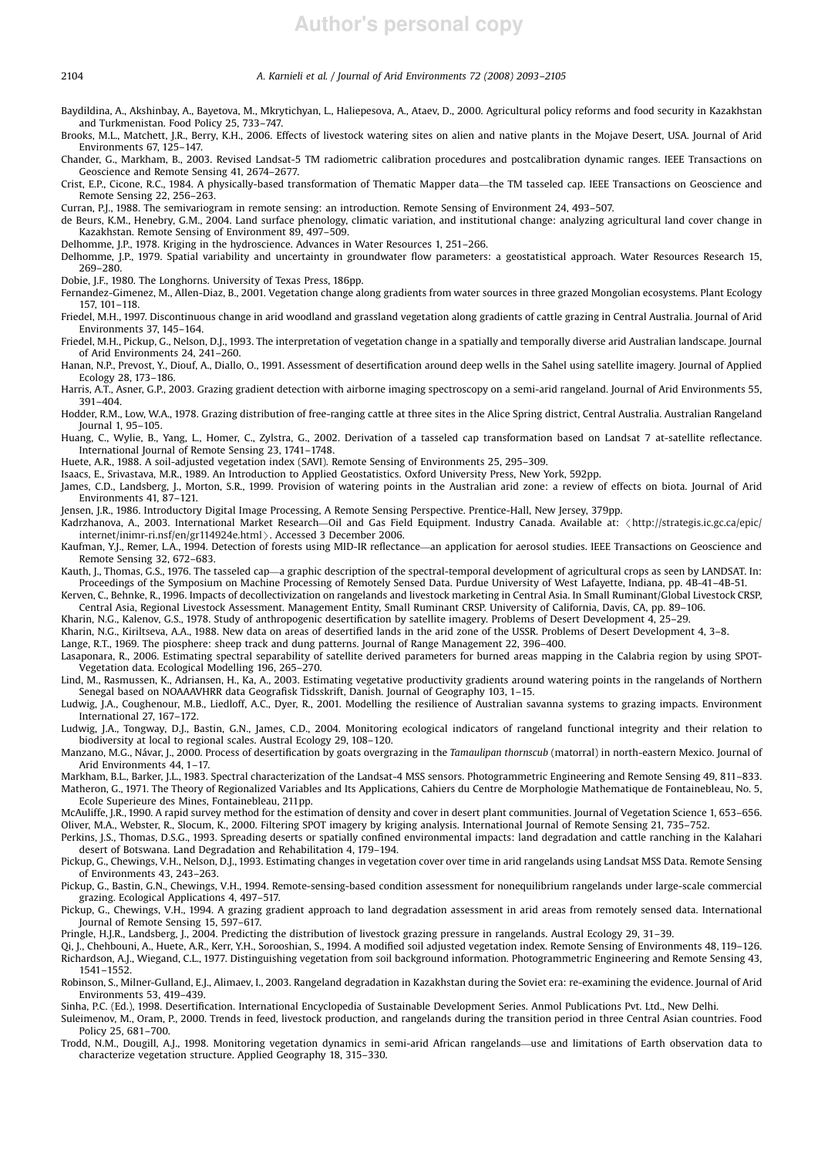- Baydildina, A., Akshinbay, A., Bayetova, M., Mkrytichyan, L., Haliepesova, A., Ataev, D., 2000. Agricultural policy reforms and food security in Kazakhstan and Turkmenistan. Food Policy 25, 733–747.
- Brooks, M.L., Matchett, J.R., Berry, K.H., 2006. Effects of livestock watering sites on alien and native plants in the Mojave Desert, USA. Journal of Arid Environments 67, 125–147.
- Chander, G., Markham, B., 2003. Revised Landsat-5 TM radiometric calibration procedures and postcalibration dynamic ranges. IEEE Transactions on Geoscience and Remote Sensing 41, 2674–2677.
- Crist, E.P., Cicone, R.C., 1984. A physically-based transformation of Thematic Mapper data—the TM tasseled cap. IEEE Transactions on Geoscience and Remote Sensing 22, 256–263.
- Curran, P.J., 1988. The semivariogram in remote sensing: an introduction. Remote Sensing of Environment 24, 493–507.
- de Beurs, K.M., Henebry, G.M., 2004. Land surface phenology, climatic variation, and institutional change: analyzing agricultural land cover change in Kazakhstan. Remote Sensing of Environment 89, 497–509.
- Delhomme, J.P., 1978. Kriging in the hydroscience. Advances in Water Resources 1, 251–266.
- Delhomme, J.P., 1979. Spatial variability and uncertainty in groundwater flow parameters: a geostatistical approach. Water Resources Research 15, 269–280.
- Dobie, J.F., 1980. The Longhorns. University of Texas Press, 186pp.
- Fernandez-Gimenez, M., Allen-Diaz, B., 2001. Vegetation change along gradients from water sources in three grazed Mongolian ecosystems. Plant Ecology 157, 101–118.
- Friedel, M.H., 1997. Discontinuous change in arid woodland and grassland vegetation along gradients of cattle grazing in Central Australia. Journal of Arid Environments 37, 145–164.
- Friedel, M.H., Pickup, G., Nelson, D.J., 1993. The interpretation of vegetation change in a spatially and temporally diverse arid Australian landscape. Journal of Arid Environments 24, 241–260.
- Hanan, N.P., Prevost, Y., Diouf, A., Diallo, O., 1991. Assessment of desertification around deep wells in the Sahel using satellite imagery. Journal of Applied Ecology 28, 173–186.
- Harris, A.T., Asner, G.P., 2003. Grazing gradient detection with airborne imaging spectroscopy on a semi-arid rangeland. Journal of Arid Environments 55, 391–404.
- Hodder, R.M., Low, W.A., 1978. Grazing distribution of free-ranging cattle at three sites in the Alice Spring district, Central Australia. Australian Rangeland Journal 1, 95–105.
- Huang, C., Wylie, B., Yang, L., Homer, C., Zylstra, G., 2002. Derivation of a tasseled cap transformation based on Landsat 7 at-satellite reflectance. International Journal of Remote Sensing 23, 1741–1748.
- Huete, A.R., 1988. A soil-adjusted vegetation index (SAVI). Remote Sensing of Environments 25, 295–309.
- Isaacs, E., Srivastava, M.R., 1989. An Introduction to Applied Geostatistics. Oxford University Press, New York, 592pp.
- James, C.D., Landsberg, J., Morton, S.R., 1999. Provision of watering points in the Australian arid zone: a review of effects on biota. Journal of Arid Environments 41, 87–121.
- Jensen, J.R., 1986. Introductory Digital Image Processing, A Remote Sensing Perspective. Prentice-Hall, New Jersey, 379pp.
- Kadrzhanova, A., 2003. International Market Research—Oil and Gas Field Equipment. Industry Canada. Available at: /http://strategis.ic.gc.ca/epic/ internet/inimr-ri.nsf/en/gr114924e.html >. Accessed 3 December 2006.
- Kaufman, Y.J., Remer, L.A., 1994. Detection of forests using MID-IR reflectance—an application for aerosol studies. IEEE Transactions on Geoscience and Remote Sensing 32, 672–683.
- Kauth, J., Thomas, G.S., 1976. The tasseled cap—a graphic description of the spectral-temporal development of agricultural crops as seen by LANDSAT. In: Proceedings of the Symposium on Machine Processing of Remotely Sensed Data. Purdue University of West Lafayette, Indiana, pp. 4B-41–4B-51.
- Kerven, C., Behnke, R., 1996. Impacts of decollectivization on rangelands and livestock marketing in Central Asia. In Small Ruminant/Global Livestock CRSP, Central Asia, Regional Livestock Assessment. Management Entity, Small Ruminant CRSP. University of California, Davis, CA, pp. 89–106.
- Kharin, N.G., Kalenov, G.S., 1978. Study of anthropogenic desertification by satellite imagery. Problems of Desert Development 4, 25–29.
- Kharin, N.G., Kiriltseva, A.A., 1988. New data on areas of desertified lands in the arid zone of the USSR. Problems of Desert Development 4, 3–8.
- Lange, R.T., 1969. The piosphere: sheep track and dung patterns. Journal of Range Management 22, 396–400.
- Lasaponara, R., 2006. Estimating spectral separability of satellite derived parameters for burned areas mapping in the Calabria region by using SPOT-Vegetation data. Ecological Modelling 196, 265–270.
- Lind, M., Rasmussen, K., Adriansen, H., Ka, A., 2003. Estimating vegetative productivity gradients around watering points in the rangelands of Northern Senegal based on NOAAAVHRR data Geografisk Tidsskrift, Danish. Journal of Geography 103, 1–15.
- Ludwig, J.A., Coughenour, M.B., Liedloff, A.C., Dyer, R., 2001. Modelling the resilience of Australian savanna systems to grazing impacts. Environment International 27, 167–172.
- Ludwig, J.A., Tongway, D.J., Bastin, G.N., James, C.D., 2004. Monitoring ecological indicators of rangeland functional integrity and their relation to biodiversity at local to regional scales. Austral Ecology 29, 108–120.
- Manzano, M.G., Na´var, J., 2000. Process of desertification by goats overgrazing in the *Tamaulipan thornscub* (matorral) in north-eastern Mexico. Journal of Arid Environments 44, 1–17.
- Markham, B.L., Barker, J.L., 1983. Spectral characterization of the Landsat-4 MSS sensors. Photogrammetric Engineering and Remote Sensing 49, 811–833. Matheron, G., 1971. The Theory of Regionalized Variables and Its Applications, Cahiers du Centre de Morphologie Mathematique de Fontainebleau, No. 5,
- Ecole Superieure des Mines, Fontainebleau, 211pp.
- McAuliffe, J.R., 1990. A rapid survey method for the estimation of density and cover in desert plant communities. Journal of Vegetation Science 1, 653–656. Oliver, M.A., Webster, R., Slocum, K., 2000. Filtering SPOT imagery by kriging analysis. International Journal of Remote Sensing 21, 735–752.
- Perkins, J.S., Thomas, D.S.G., 1993. Spreading deserts or spatially confined environmental impacts: land degradation and cattle ranching in the Kalahari
- desert of Botswana. Land Degradation and Rehabilitation 4, 179–194. Pickup, G., Chewings, V.H., Nelson, D.J., 1993. Estimating changes in vegetation cover over time in arid rangelands using Landsat MSS Data. Remote Sensing of Environments 43, 243–263.
- Pickup, G., Bastin, G.N., Chewings, V.H., 1994. Remote-sensing-based condition assessment for nonequilibrium rangelands under large-scale commercial grazing. Ecological Applications 4, 497–517.
- Pickup, G., Chewings, V.H., 1994. A grazing gradient approach to land degradation assessment in arid areas from remotely sensed data. International Journal of Remote Sensing 15, 597–617.
- Pringle, H.J.R., Landsberg, J., 2004. Predicting the distribution of livestock grazing pressure in rangelands. Austral Ecology 29, 31–39.
- Qi, J., Chehbouni, A., Huete, A.R., Kerr, Y.H., Sorooshian, S., 1994. A modified soil adjusted vegetation index. Remote Sensing of Environments 48, 119–126. Richardson, A.J., Wiegand, C.L., 1977. Distinguishing vegetation from soil background information. Photogrammetric Engineering and Remote Sensing 43, 1541–1552.
- Robinson, S., Milner-Gulland, E.J., Alimaev, I., 2003. Rangeland degradation in Kazakhstan during the Soviet era: re-examining the evidence. Journal of Arid Environments 53, 419–439.
- Sinha, P.C. (Ed.), 1998. Desertification. International Encyclopedia of Sustainable Development Series. Anmol Publications Pvt. Ltd., New Delhi.
- Suleimenov, M., Oram, P., 2000. Trends in feed, livestock production, and rangelands during the transition period in three Central Asian countries. Food Policy 25, 681–700.
- Trodd, N.M., Dougill, A.J., 1998. Monitoring vegetation dynamics in semi-arid African rangelands—use and limitations of Earth observation data to characterize vegetation structure. Applied Geography 18, 315–330.